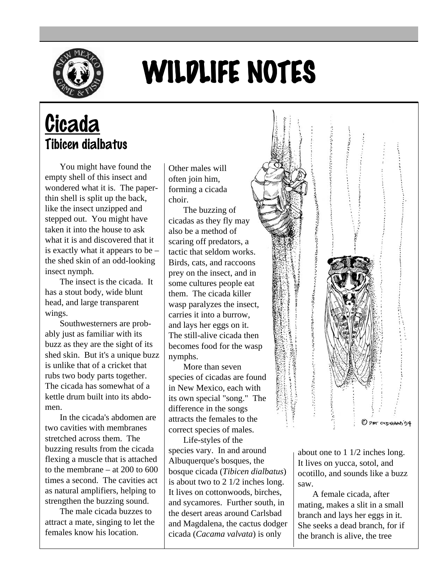

## WILDLIFE NOTES

## **Cicada** Tibicen dialbatus

You might have found the empty shell of this insect and wondered what it is. The paperthin shell is split up the back, like the insect unzipped and stepped out. You might have taken it into the house to ask what it is and discovered that it is exactly what it appears to be – the shed skin of an odd-looking insect nymph.

The insect is the cicada. It has a stout body, wide blunt head, and large transparent wings.

Southwesterners are probably just as familiar with its buzz as they are the sight of its shed skin. But it's a unique buzz is unlike that of a cricket that rubs two body parts together. The cicada has somewhat of a kettle drum built into its abdomen.

In the cicada's abdomen are two cavities with membranes stretched across them. The buzzing results from the cicada flexing a muscle that is attached to the membrane – at 200 to 600 times a second. The cavities act as natural amplifiers, helping to strengthen the buzzing sound.

The male cicada buzzes to attract a mate, singing to let the females know his location.

Other males will often join him, forming a cicada choir.

The buzzing of cicadas as they fly may also be a method of scaring off predators, a tactic that seldom works. Birds, cats, and raccoons prey on the insect, and in some cultures people eat them. The cicada killer wasp paralyzes the insect, carries it into a burrow, and lays her eggs on it. The still-alive cicada then becomes food for the wasp nymphs.

More than seven species of cicadas are found in New Mexico, each with its own special "song." The difference in the songs attracts the females to the correct species of males.

Life-styles of the species vary. In and around Albuquerque's bosques, the bosque cicada (*Tibicen dialbatus*) is about two to 2 1/2 inches long. It lives on cottonwoods, birches, and sycamores. Further south, in the desert areas around Carlsbad and Magdalena, the cactus dodger cicada (*Cacama valvata*) is only



about one to 1 1/2 inches long. It lives on yucca, sotol, and ocotillo, and sounds like a buzz saw.

A female cicada, after mating, makes a slit in a small branch and lays her eggs in it. She seeks a dead branch, for if the branch is alive, the tree